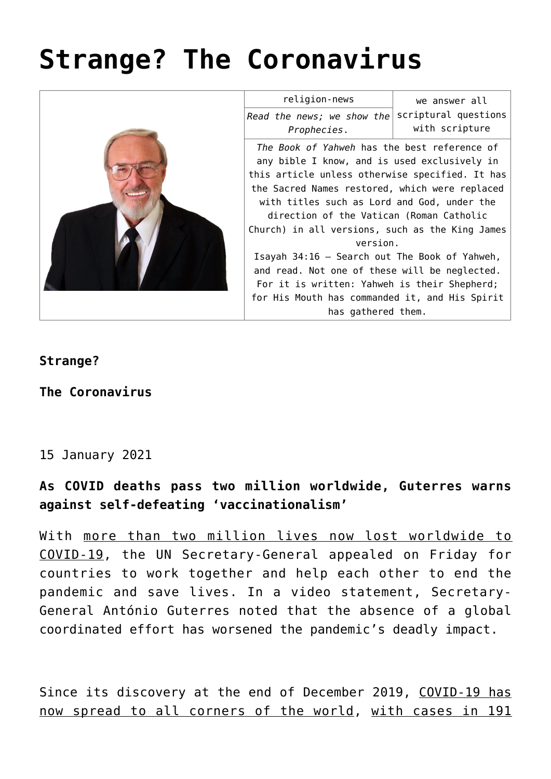# **[Strange? The Coronavirus](https://yahwehsbranch.com/strange-the-coronavirus/)**



## **Strange?**

**The Coronavirus**

## 15 January 2021

## **As COVID deaths pass two million worldwide, Guterres warns against self-defeating 'vaccinationalism'**

With more than two million lives now lost worldwide to COVID-19, the UN Secretary-General appealed on Friday for countries to work together and help each other to end the pandemic and save lives. In a video statement, Secretary-General António Guterres noted that the absence of a global coordinated effort has worsened the pandemic's deadly impact.

Since its discovery at the end of December 2019, COVID-19 has now spread to all corners of the world, with cases in 191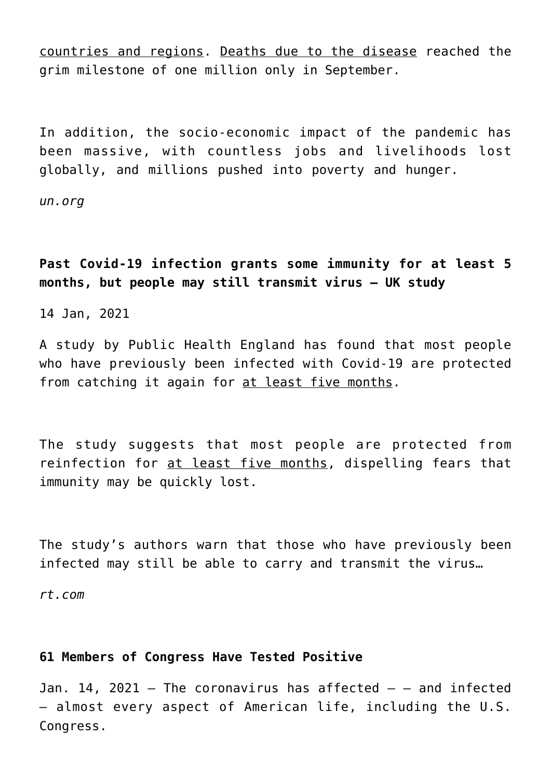countries and regions. Deaths due to the disease reached the grim milestone of one million only in September.

In addition, the socio-economic impact of the pandemic has been massive, with countless jobs and livelihoods lost globally, and millions pushed into poverty and hunger.

*un.org*

**Past Covid-19 infection grants some immunity for at least 5 months, but people may still transmit virus – UK study**

14 Jan, 2021

A study by Public Health England has found that most people who have previously been infected with Covid-19 are protected from catching it again for at least five months.

The study suggests that most people are protected from reinfection for at least five months, dispelling fears that immunity may be quickly lost.

The study's authors warn that those who have previously been infected may still be able to carry and transmit the virus…

*rt.com*

## **61 Members of Congress Have Tested Positive**

Jan. 14, 2021  $-$  The coronavirus has affected  $-$  and infected — almost every aspect of American life, including the U.S. Congress.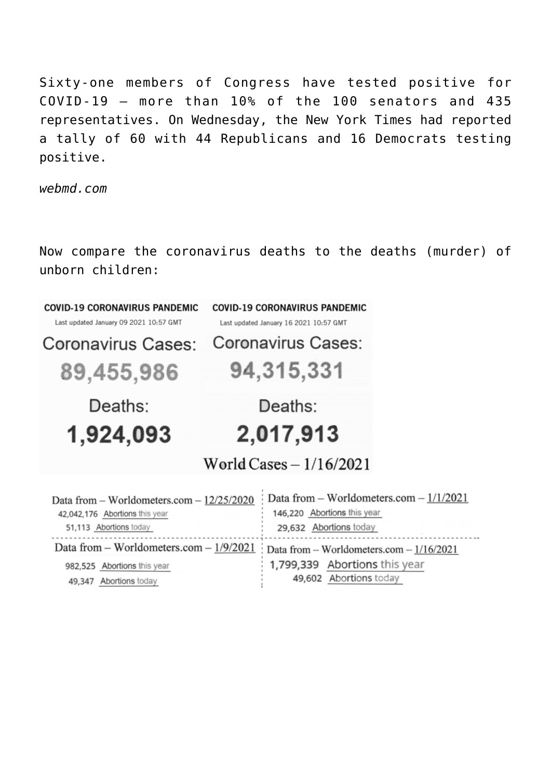Sixty-one members of Congress have tested positive for COVID-19 — more than 10% of the 100 senators and 435 representatives. On Wednesday, the New York Times had reported a tally of 60 with 44 Republicans and 16 Democrats testing positive.

*webmd.com*

Now compare the coronavirus deaths to the deaths (murder) of unborn children:

| <b>COVID-19 CORONAVIRUS PANDEMIC</b>      | <b>COVID-19 CORONAVIRUS PANDEMIC</b>             |
|-------------------------------------------|--------------------------------------------------|
| Last updated January 09 2021 10:57 GMT    | Last updated January 16 2021 10:57 GMT           |
| Coronavirus Cases:                        | Coronavirus Cases:                               |
| 89,455,986                                | 94,315,331                                       |
| Deaths:<br>1,924,093                      | Deaths:<br>2,017,913<br>World Cases $-1/16/2021$ |
| Data from - Worldometers.com - 12/25/2020 | Data from $-$ Worldometers.com $-1/1/2021$       |
| 42,042,176 Abortions this year            | 146,220 Abortions this year                      |
| 51,113 Abortions today                    | 29,632 Abortions today                           |
| Data from - Worldometers.com - 1/9/2021   | Data from $-$ Worldometers.com $-1/16/2021$      |
| 982,525 Abortions this year               | 1,799,339 Abortions this year                    |
| 49,347 Abortions today                    | 49,602 Abortions today                           |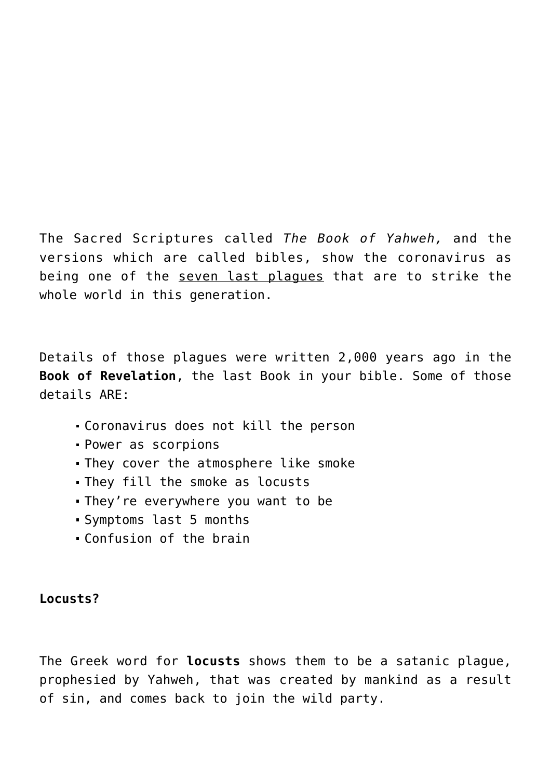The Sacred Scriptures called *The Book of Yahweh,* and the versions which are called bibles, show the coronavirus as being one of the seven last plagues that are to strike the whole world in this generation.

Details of those plagues were written 2,000 years ago in the **Book of Revelation**, the last Book in your bible. Some of those details ARE:

- Coronavirus does not kill the person
- Power as scorpions
- They cover the atmosphere like smoke
- They fill the smoke as locusts
- They're everywhere you want to be
- Symptoms last 5 months
- Confusion of the brain

## **Locusts?**

The Greek word for **locusts** shows them to be a satanic plague, prophesied by Yahweh, that was created by mankind as a result of sin, and comes back to join the wild party.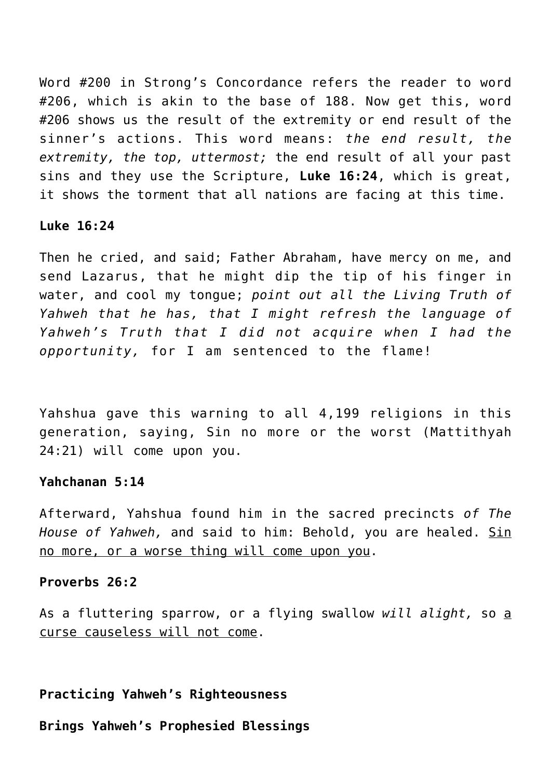Word #200 in Strong's Concordance refers the reader to word #206, which is akin to the base of 188. Now get this, word #206 shows us the result of the extremity or end result of the sinner's actions. This word means: *the end result, the extremity, the top, uttermost;* the end result of all your past sins and they use the Scripture, **Luke 16:24**, which is great, it shows the torment that all nations are facing at this time.

#### **Luke 16:24**

Then he cried, and said; Father Abraham, have mercy on me, and send Lazarus, that he might dip the tip of his finger in water, and cool my tongue; *point out all the Living Truth of Yahweh that he has, that I might refresh the language of Yahweh's Truth that I did not acquire when I had the opportunity,* for I am sentenced to the flame!

Yahshua gave this warning to all 4,199 religions in this generation, saying, Sin no more or the worst (Mattithyah 24:21) will come upon you.

#### **Yahchanan 5:14**

Afterward, Yahshua found him in the sacred precincts *of The* House of Yahweh, and said to him: Behold, you are healed. Sin no more, or a worse thing will come upon you.

#### **Proverbs 26:2**

As a fluttering sparrow, or a flying swallow *will alight,* so a curse causeless will not come.

## **Practicing Yahweh's Righteousness**

**Brings Yahweh's Prophesied Blessings**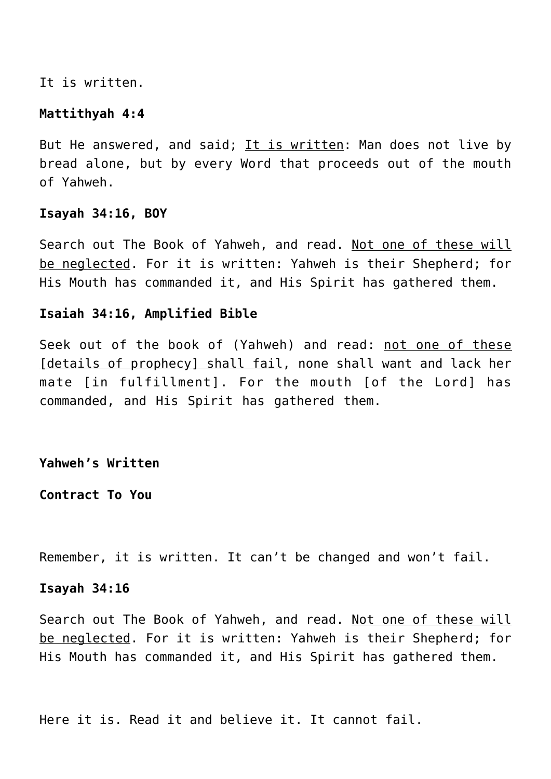It is written.

#### **Mattithyah 4:4**

But He answered, and said; It is written: Man does not live by bread alone, but by every Word that proceeds out of the mouth of Yahweh.

#### **Isayah 34:16, BOY**

Search out The Book of Yahweh, and read. Not one of these will be neglected. For it is written: Yahweh is their Shepherd; for His Mouth has commanded it, and His Spirit has gathered them.

#### **Isaiah 34:16, Amplified Bible**

Seek out of the book of (Yahweh) and read: not one of these Idetails of prophecyl shall fail, none shall want and lack her mate [in fulfillment]. For the mouth [of the Lord] has commanded, and His Spirit has gathered them.

#### **Yahweh's Written**

**Contract To You**

Remember, it is written. It can't be changed and won't fail.

#### **Isayah 34:16**

Search out The Book of Yahweh, and read. Not one of these will be neglected. For it is written: Yahweh is their Shepherd; for His Mouth has commanded it, and His Spirit has gathered them.

Here it is. Read it and believe it. It cannot fail.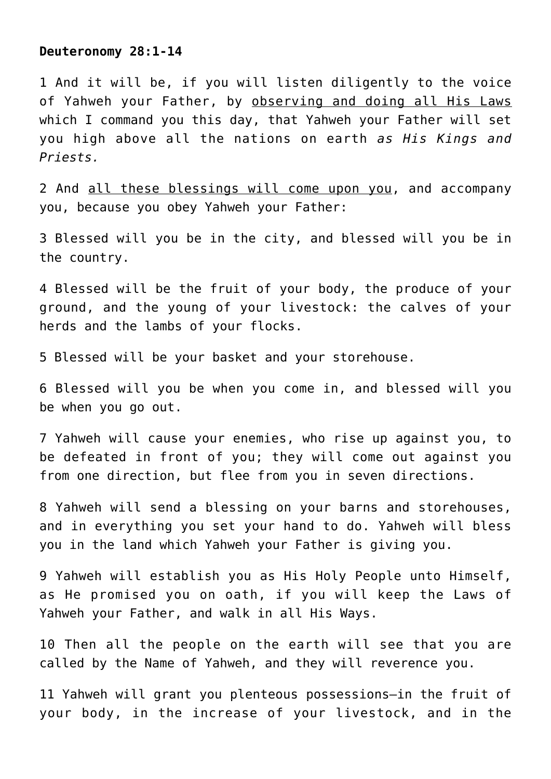#### **Deuteronomy 28:1-14**

1 And it will be, if you will listen diligently to the voice of Yahweh your Father, by observing and doing all His Laws which I command you this day, that Yahweh your Father will set you high above all the nations on earth *as His Kings and Priests.*

2 And all these blessings will come upon you, and accompany you, because you obey Yahweh your Father:

3 Blessed will you be in the city, and blessed will you be in the country.

4 Blessed will be the fruit of your body, the produce of your ground, and the young of your livestock: the calves of your herds and the lambs of your flocks.

5 Blessed will be your basket and your storehouse.

6 Blessed will you be when you come in, and blessed will you be when you go out.

7 Yahweh will cause your enemies, who rise up against you, to be defeated in front of you; they will come out against you from one direction, but flee from you in seven directions.

8 Yahweh will send a blessing on your barns and storehouses, and in everything you set your hand to do. Yahweh will bless you in the land which Yahweh your Father is giving you.

9 Yahweh will establish you as His Holy People unto Himself, as He promised you on oath, if you will keep the Laws of Yahweh your Father, and walk in all His Ways.

10 Then all the people on the earth will see that you are called by the Name of Yahweh, and they will reverence you.

11 Yahweh will grant you plenteous possessions—in the fruit of your body, in the increase of your livestock, and in the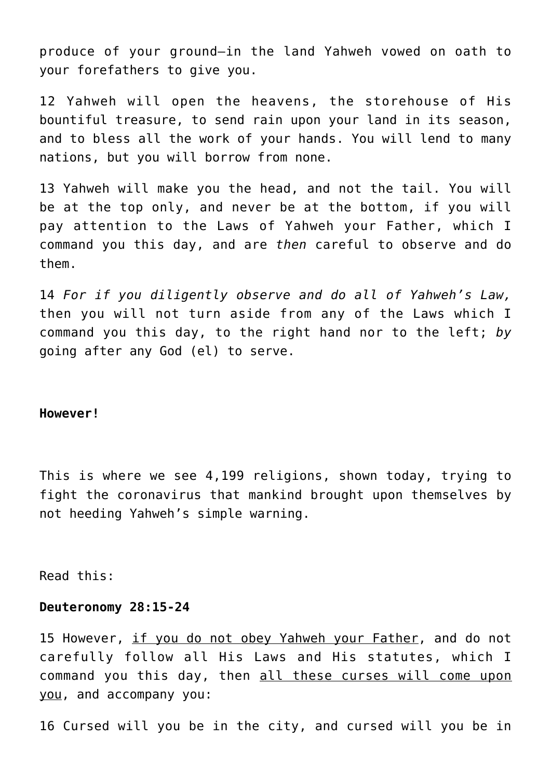produce of your ground—in the land Yahweh vowed on oath to your forefathers to give you.

12 Yahweh will open the heavens, the storehouse of His bountiful treasure, to send rain upon your land in its season, and to bless all the work of your hands. You will lend to many nations, but you will borrow from none.

13 Yahweh will make you the head, and not the tail. You will be at the top only, and never be at the bottom, if you will pay attention to the Laws of Yahweh your Father, which I command you this day, and are *then* careful to observe and do them.

14 *For if you diligently observe and do all of Yahweh's Law,* then you will not turn aside from any of the Laws which I command you this day, to the right hand nor to the left; *by* going after any God (el) to serve.

#### **However!**

This is where we see 4,199 religions, shown today, trying to fight the coronavirus that mankind brought upon themselves by not heeding Yahweh's simple warning.

Read this:

#### **Deuteronomy 28:15-24**

15 However, if you do not obey Yahweh your Father, and do not carefully follow all His Laws and His statutes, which I command you this day, then all these curses will come upon you, and accompany you:

16 Cursed will you be in the city, and cursed will you be in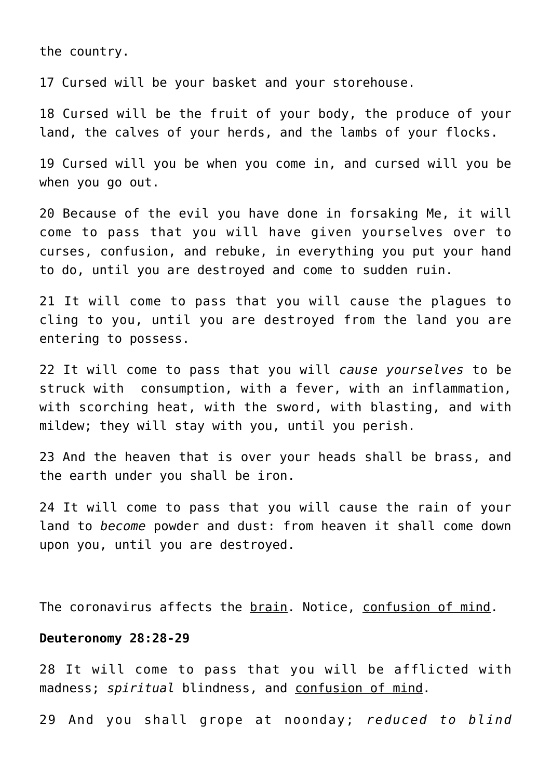the country.

17 Cursed will be your basket and your storehouse.

18 Cursed will be the fruit of your body, the produce of your land, the calves of your herds, and the lambs of your flocks.

19 Cursed will you be when you come in, and cursed will you be when you go out.

20 Because of the evil you have done in forsaking Me, it will come to pass that you will have given yourselves over to curses, confusion, and rebuke, in everything you put your hand to do, until you are destroyed and come to sudden ruin.

21 It will come to pass that you will cause the plagues to cling to you, until you are destroyed from the land you are entering to possess.

22 It will come to pass that you will *cause yourselves* to be struck with consumption, with a fever, with an inflammation, with scorching heat, with the sword, with blasting, and with mildew; they will stay with you, until you perish.

23 And the heaven that is over your heads shall be brass, and the earth under you shall be iron.

24 It will come to pass that you will cause the rain of your land to *become* powder and dust: from heaven it shall come down upon you, until you are destroyed.

The coronavirus affects the brain. Notice, confusion of mind.

#### **Deuteronomy 28:28-29**

28 It will come to pass that you will be afflicted with madness; *spiritual* blindness, and confusion of mind.

29 And you shall grope at noonday; *reduced to blind*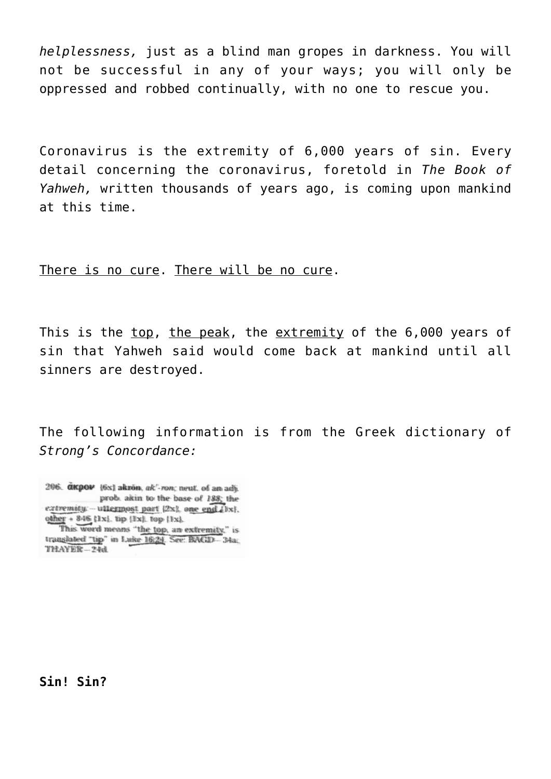*helplessness,* just as a blind man gropes in darkness. You will not be successful in any of your ways; you will only be oppressed and robbed continually, with no one to rescue you.

Coronavirus is the extremity of 6,000 years of sin. Every detail concerning the coronavirus, foretold in *The Book of Yahweh,* written thousands of years ago, is coming upon mankind at this time.

There is no cure. There will be no cure.

This is the top, the peak, the extremity of the 6,000 years of sin that Yahweh said would come back at mankind until all sinners are destroyed.

The following information is from the Greek dictionary of *Strong's Concordance:*

206. akpov {6x} akron, ak"-ron; neut. of an adj. prob. akin to the base of 188; the extremity. -- uttermost part (2x), one end (1x). other + 846 {1x}, tip {1x}, top {1x}.

**Sin! Sin?**

This word means "the top, an extremity." is translated "tip" in Luke 16:24. See: BAGD-34a.  $TMAXER - 24d$